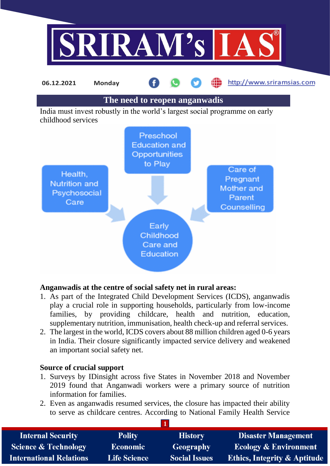



## **Anganwadis at the centre of social safety net in rural areas:**

- 1. As part of the Integrated Child Development Services (ICDS), anganwadis play a crucial role in supporting households, particularly from low-income families, by providing childcare, health and nutrition, education, supplementary nutrition, immunisation, health check-up and referral services.
- 2. The largest in the world, ICDS covers about 88 million children aged 0-6 years in India. Their closure significantly impacted service delivery and weakened an important social safety net.

## **Source of crucial support**

- 1. Surveys by IDinsight across five States in November 2018 and November 2019 found that Anganwadi workers were a primary source of nutrition information for families.
- 2. Even as anganwadis resumed services, the closure has impacted their ability to serve as childcare centres. According to National Family Health Service

| <b>Internal Security</b>        | <b>Polity</b>       | <b>History</b>       | <b>Disaster Management</b>              |
|---------------------------------|---------------------|----------------------|-----------------------------------------|
| <b>Science &amp; Technology</b> | <b>Economic</b>     | Geography            | <b>Ecology &amp; Environment</b>        |
| <b>International Relations</b>  | <b>Life Science</b> | <b>Social Issues</b> | <b>Ethics, Integrity &amp; Aptitude</b> |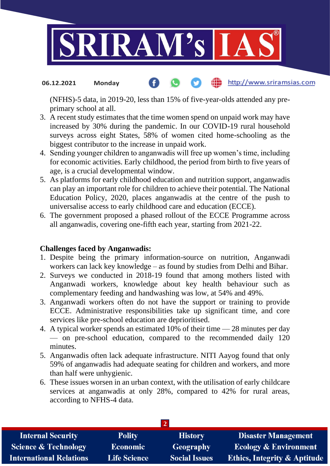

### http://www.sriramsias.com **06.12.2021 Monday**

(NFHS)-5 data, in 2019-20, less than 15% of five-year-olds attended any preprimary school at all.

- 3. A recent study estimates that the time women spend on unpaid work may have increased by 30% during the pandemic. In our COVID-19 rural household surveys across eight States, 58% of women cited home-schooling as the biggest contributor to the increase in unpaid work.
- 4. Sending younger children to anganwadis will free up women's time, including for economic activities. Early childhood, the period from birth to five years of age, is a crucial developmental window.
- 5. As platforms for early childhood education and nutrition support, anganwadis can play an important role for children to achieve their potential. The National Education Policy, 2020, places anganwadis at the centre of the push to universalise access to early childhood care and education (ECCE).
- 6. The government proposed a phased rollout of the ECCE Programme across all anganwadis, covering one-fifth each year, starting from 2021-22.

## **Challenges faced by Anganwadis:**

- 1. Despite being the primary information-source on nutrition, Anganwadi workers can lack key knowledge – as found by studies from Delhi and Bihar.
- 2. Surveys we conducted in 2018-19 found that among mothers listed with Anganwadi workers, knowledge about key health behaviour such as complementary feeding and handwashing was low, at 54% and 49%.
- 3. Anganwadi workers often do not have the support or training to provide ECCE. Administrative responsibilities take up significant time, and core services like pre-school education are deprioritised.
- 4. A typical worker spends an estimated 10% of their time 28 minutes per day — on pre-school education, compared to the recommended daily 120 minutes.
- 5. Anganwadis often lack adequate infrastructure. NITI Aayog found that only 59% of anganwadis had adequate seating for children and workers, and more than half were unhygienic.
- 6. These issues worsen in an urban context, with the utilisation of early childcare services at anganwadis at only 28%, compared to 42% for rural areas, according to NFHS-4 data.

| <b>Internal Security</b>        | <b>Polity</b>       | <b>History</b>       | Disaster Management                     |
|---------------------------------|---------------------|----------------------|-----------------------------------------|
| <b>Science &amp; Technology</b> | <b>Economic</b>     | Geography            | <b>Ecology &amp; Environment</b>        |
| <b>International Relations</b>  | <b>Life Science</b> | <b>Social Issues</b> | <b>Ethics, Integrity &amp; Aptitude</b> |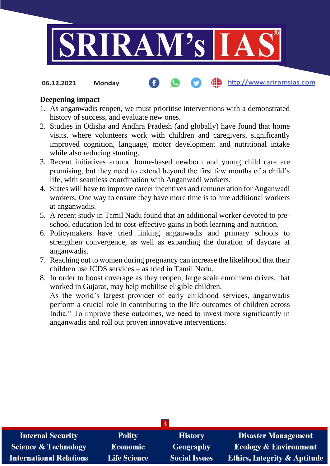

http://www.sriramsias.com **06.12.2021 Monday**

## **Deepening impact**

- 1. As anganwadis reopen, we must prioritise interventions with a demonstrated history of success, and evaluate new ones.
- 2. Studies in Odisha and Andhra Pradesh (and globally) have found that home visits, where volunteers work with children and caregivers, significantly improved cognition, language, motor development and nutritional intake while also reducing stunting.
- 3. Recent initiatives around home-based newborn and young child care are promising, but they need to extend beyond the first few months of a child's life, with seamless coordination with Anganwadi workers.
- 4. States will have to improve career incentives and remuneration for Anganwadi workers. One way to ensure they have more time is to hire additional workers at anganwadis.
- 5. A recent study in Tamil Nadu found that an additional worker devoted to preschool education led to cost-effective gains in both learning and nutrition.
- 6. Policymakers have tried linking anganwadis and primary schools to strengthen convergence, as well as expanding the duration of daycare at anganwadis.
- 7. Reaching out to women during pregnancy can increase the likelihood that their children use ICDS services – as tried in Tamil Nadu.
- 8. In order to boost coverage as they reopen, large scale enrolment drives, that worked in Gujarat, may help mobilise eligible children. As the world's largest provider of early childhood services, anganwadis perform a crucial role in contributing to the life outcomes of children across India." To improve these outcomes, we need to invest more significantly in anganwadis and roll out proven innovative interventions.

| <b>Internal Security</b>        | <b>Polity</b>       | <b>History</b>       | <b>Disaster Management</b>              |
|---------------------------------|---------------------|----------------------|-----------------------------------------|
| <b>Science &amp; Technology</b> | <b>Economic</b>     | <b>Geography</b>     | <b>Ecology &amp; Environment</b>        |
| <b>International Relations</b>  | <b>Life Science</b> | <b>Social Issues</b> | <b>Ethics, Integrity &amp; Aptitude</b> |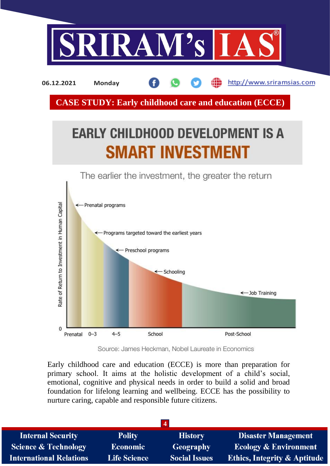

http://www.sriramsias.com **06.12.2021 Monday**

**CASE STUDY: Early childhood care and education (ECCE)**

# **EARLY CHILDHOOD DEVELOPMENT IS A SMART INVESTMENT**

The earlier the investment, the greater the return



Source: James Heckman, Nobel Laureate in Economics

Early childhood care and education (ECCE) is more than preparation for primary school. It aims at the holistic development of a child's social, emotional, cognitive and physical needs in order to build a solid and broad foundation for lifelong learning and wellbeing. ECCE has the possibility to nurture caring, capable and responsible future citizens.

| $\overline{4}$                  |                     |                      |                                         |
|---------------------------------|---------------------|----------------------|-----------------------------------------|
| <b>Internal Security</b>        | <b>Polity</b>       | <b>History</b>       | <b>Disaster Management</b>              |
| <b>Science &amp; Technology</b> | <b>Economic</b>     | Geography            | <b>Ecology &amp; Environment</b>        |
| <b>International Relations</b>  | <b>Life Science</b> | <b>Social Issues</b> | <b>Ethics, Integrity &amp; Aptitude</b> |
|                                 |                     |                      |                                         |